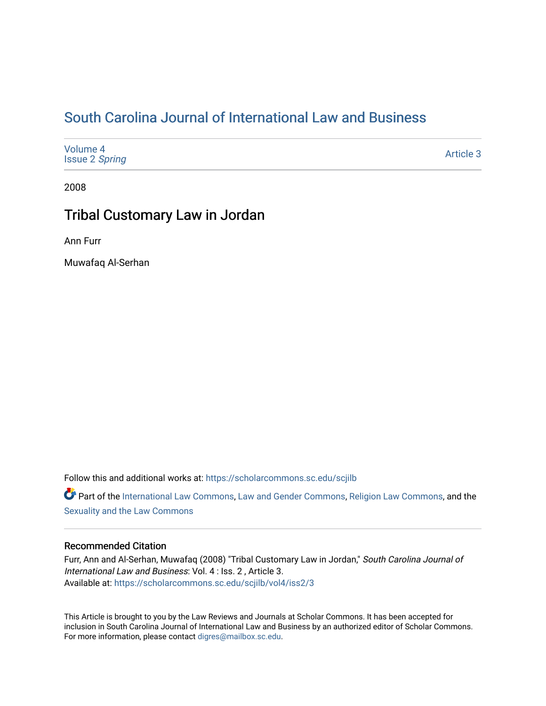# [South Carolina Journal of International Law and Business](https://scholarcommons.sc.edu/scjilb)

| Volume 4<br><b>Issue 2 Spring</b> | Article 3 |
|-----------------------------------|-----------|
|-----------------------------------|-----------|

2008

# Tribal Customary Law in Jordan

Ann Furr

Muwafaq Al-Serhan

Follow this and additional works at: [https://scholarcommons.sc.edu/scjilb](https://scholarcommons.sc.edu/scjilb?utm_source=scholarcommons.sc.edu%2Fscjilb%2Fvol4%2Fiss2%2F3&utm_medium=PDF&utm_campaign=PDFCoverPages)

Part of the [International Law Commons,](http://network.bepress.com/hgg/discipline/609?utm_source=scholarcommons.sc.edu%2Fscjilb%2Fvol4%2Fiss2%2F3&utm_medium=PDF&utm_campaign=PDFCoverPages) [Law and Gender Commons](http://network.bepress.com/hgg/discipline/1298?utm_source=scholarcommons.sc.edu%2Fscjilb%2Fvol4%2Fiss2%2F3&utm_medium=PDF&utm_campaign=PDFCoverPages), [Religion Law Commons,](http://network.bepress.com/hgg/discipline/872?utm_source=scholarcommons.sc.edu%2Fscjilb%2Fvol4%2Fiss2%2F3&utm_medium=PDF&utm_campaign=PDFCoverPages) and the [Sexuality and the Law Commons](http://network.bepress.com/hgg/discipline/877?utm_source=scholarcommons.sc.edu%2Fscjilb%2Fvol4%2Fiss2%2F3&utm_medium=PDF&utm_campaign=PDFCoverPages) 

## Recommended Citation

Furr, Ann and Al-Serhan, Muwafaq (2008) "Tribal Customary Law in Jordan," South Carolina Journal of International Law and Business: Vol. 4 : Iss. 2 , Article 3. Available at: [https://scholarcommons.sc.edu/scjilb/vol4/iss2/3](https://scholarcommons.sc.edu/scjilb/vol4/iss2/3?utm_source=scholarcommons.sc.edu%2Fscjilb%2Fvol4%2Fiss2%2F3&utm_medium=PDF&utm_campaign=PDFCoverPages)

This Article is brought to you by the Law Reviews and Journals at Scholar Commons. It has been accepted for inclusion in South Carolina Journal of International Law and Business by an authorized editor of Scholar Commons. For more information, please contact [digres@mailbox.sc.edu](mailto:digres@mailbox.sc.edu).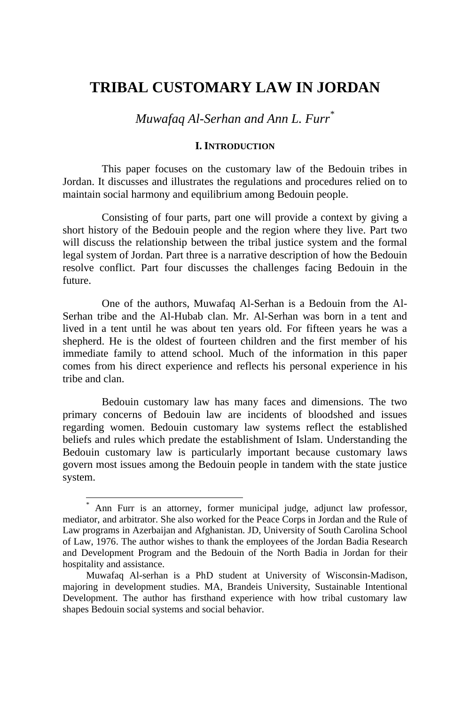## **TRIBAL CUSTOMARY LAW IN JORDAN**

*Muwafaq Al-Serhan and Ann L. Furr\**

#### **I. INTRODUCTION**

This paper focuses on the customary law of the Bedouin tribes in Jordan. It discusses and illustrates the regulations and procedures relied on to maintain social harmony and equilibrium among Bedouin people.

Consisting of four parts, part one will provide a context by giving a short history of the Bedouin people and the region where they live. Part two will discuss the relationship between the tribal justice system and the formal legal system of Jordan. Part three is a narrative description of how the Bedouin resolve conflict. Part four discusses the challenges facing Bedouin in the future.

One of the authors, Muwafaq Al-Serhan is a Bedouin from the Al-Serhan tribe and the Al-Hubab clan. Mr. Al-Serhan was born in a tent and lived in a tent until he was about ten years old. For fifteen years he was a shepherd. He is the oldest of fourteen children and the first member of his immediate family to attend school. Much of the information in this paper comes from his direct experience and reflects his personal experience in his tribe and clan.

Bedouin customary law has many faces and dimensions. The two primary concerns of Bedouin law are incidents of bloodshed and issues regarding women. Bedouin customary law systems reflect the established beliefs and rules which predate the establishment of Islam. Understanding the Bedouin customary law is particularly important because customary laws govern most issues among the Bedouin people in tandem with the state justice system.

<sup>\*</sup> Ann Furr is an attorney, former municipal judge, adjunct law professor, mediator, and arbitrator. She also worked for the Peace Corps in Jordan and the Rule of Law programs in Azerbaijan and Afghanistan. JD, University of South Carolina School of Law, 1976. The author wishes to thank the employees of the Jordan Badia Research and Development Program and the Bedouin of the North Badia in Jordan for their hospitality and assistance.

Muwafaq Al-serhan is a PhD student at University of Wisconsin-Madison, majoring in development studies. MA, Brandeis University, Sustainable Intentional Development. The author has firsthand experience with how tribal customary law shapes Bedouin social systems and social behavior.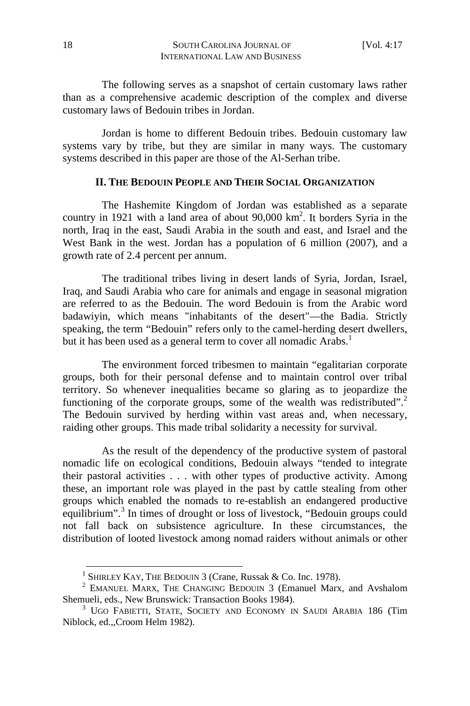The following serves as a snapshot of certain customary laws rather than as a comprehensive academic description of the complex and diverse customary laws of Bedouin tribes in Jordan.

Jordan is home to different Bedouin tribes. Bedouin customary law systems vary by tribe, but they are similar in many ways. The customary systems described in this paper are those of the Al-Serhan tribe.

### **II. THE BEDOUIN PEOPLE AND THEIR SOCIAL ORGANIZATION**

The Hashemite Kingdom of Jordan was established as a separate country in 1921 with a land area of about 90,000 km2 . It borders Syria in the north, Iraq in the east, Saudi Arabia in the south and east, and Israel and the West Bank in the west. Jordan has a population of 6 million (2007), and a growth rate of 2.4 percent per annum.

The traditional tribes living in desert lands of Syria, Jordan, Israel, Iraq, and Saudi Arabia who care for animals and engage in seasonal migration are referred to as the Bedouin. The word Bedouin is from the Arabic word badawiyin, which means "inhabitants of the desert"—the Badia. Strictly speaking, the term "Bedouin" refers only to the camel-herding desert dwellers, but it has been used as a general term to cover all nomadic Arabs.<sup>1</sup>

The environment forced tribesmen to maintain "egalitarian corporate groups, both for their personal defense and to maintain control over tribal territory. So whenever inequalities became so glaring as to jeopardize the functioning of the corporate groups, some of the wealth was redistributed".<sup>2</sup> The Bedouin survived by herding within vast areas and, when necessary, raiding other groups. This made tribal solidarity a necessity for survival.

As the result of the dependency of the productive system of pastoral nomadic life on ecological conditions, Bedouin always "tended to integrate their pastoral activities . . . with other types of productive activity. Among these, an important role was played in the past by cattle stealing from other groups which enabled the nomads to re-establish an endangered productive equilibrium".<sup>3</sup> In times of drought or loss of livestock, "Bedouin groups could not fall back on subsistence agriculture. In these circumstances, the distribution of looted livestock among nomad raiders without animals or other

<sup>&</sup>lt;sup>1</sup> SHIRLEY KAY, THE BEDOUIN 3 (Crane, Russak & Co. Inc. 1978).<br><sup>2</sup> EMANUEL MARX, THE CHANGING BEDOUIN 3 (Emanuel Marx, and Avshalom Shemueli, eds., New Brunswick: Transaction Books 1984).

 $3$  UGO FABIETTI, STATE, SOCIETY AND ECONOMY IN SAUDI ARABIA 186 (Tim Niblock, ed.,,Croom Helm 1982).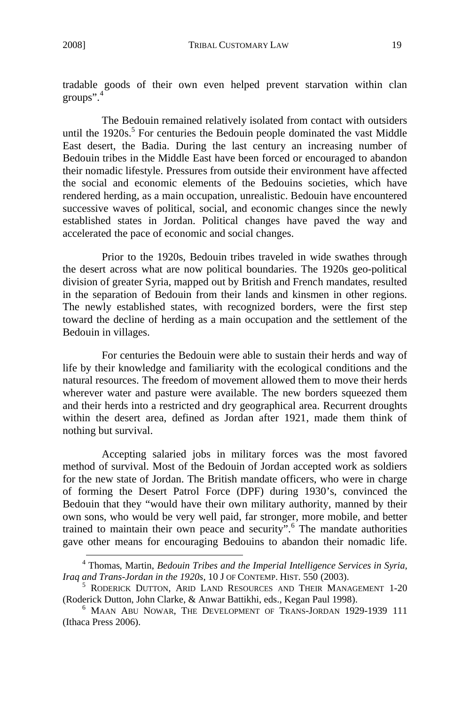$\overline{a}$ 

tradable goods of their own even helped prevent starvation within clan groups".<sup>4</sup>

The Bedouin remained relatively isolated from contact with outsiders until the  $1920s$ <sup>5</sup>. For centuries the Bedouin people dominated the vast Middle East desert, the Badia. During the last century an increasing number of Bedouin tribes in the Middle East have been forced or encouraged to abandon their nomadic lifestyle. Pressures from outside their environment have affected the social and economic elements of the Bedouins societies, which have rendered herding, as a main occupation, unrealistic. Bedouin have encountered successive waves of political, social, and economic changes since the newly established states in Jordan. Political changes have paved the way and accelerated the pace of economic and social changes.

Prior to the 1920s, Bedouin tribes traveled in wide swathes through the desert across what are now political boundaries. The 1920s geo-political division of greater Syria, mapped out by British and French mandates, resulted in the separation of Bedouin from their lands and kinsmen in other regions. The newly established states, with recognized borders, were the first step toward the decline of herding as a main occupation and the settlement of the Bedouin in villages.

For centuries the Bedouin were able to sustain their herds and way of life by their knowledge and familiarity with the ecological conditions and the natural resources. The freedom of movement allowed them to move their herds wherever water and pasture were available. The new borders squeezed them and their herds into a restricted and dry geographical area. Recurrent droughts within the desert area, defined as Jordan after 1921, made them think of nothing but survival.

Accepting salaried jobs in military forces was the most favored method of survival. Most of the Bedouin of Jordan accepted work as soldiers for the new state of Jordan. The British mandate officers, who were in charge of forming the Desert Patrol Force (DPF) during 1930's, convinced the Bedouin that they "would have their own military authority, manned by their own sons, who would be very well paid, far stronger, more mobile, and better trained to maintain their own peace and security".<sup>6</sup> The mandate authorities gave other means for encouraging Bedouins to abandon their nomadic life.

<sup>4</sup> Thomas, Martin, *Bedouin Tribes and the Imperial Intelligence Services in Syria,* 

*Iraq and Trans-Jordan in the 1920s*, 10 J OF CONTEMP. HIST. 550 (2003).<br><sup>5</sup> RODERICK DUTTON, ARID LAND RESOURCES AND THEIR MANAGEMENT 1-20 (Roderick Dutton, John Clarke, & Anwar Battikhi, eds., Kegan Paul 1998).

 $6$  Maan Abu Nowar, The Development of Trans-Jordan 1929-1939 111 (Ithaca Press 2006).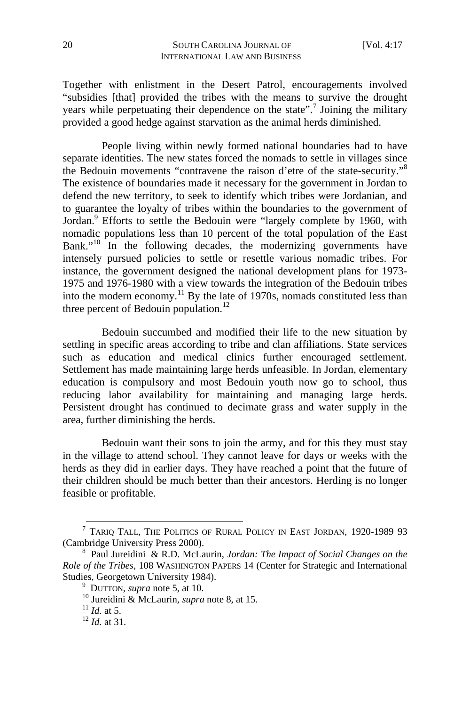Together with enlistment in the Desert Patrol, encouragements involved "subsidies [that] provided the tribes with the means to survive the drought years while perpetuating their dependence on the state".<sup>7</sup> Joining the military provided a good hedge against starvation as the animal herds diminished.

People living within newly formed national boundaries had to have separate identities. The new states forced the nomads to settle in villages since the Bedouin movements "contravene the raison d'etre of the state-security."<sup>8</sup> The existence of boundaries made it necessary for the government in Jordan to defend the new territory, to seek to identify which tribes were Jordanian, and to guarantee the loyalty of tribes within the boundaries to the government of Jordan.<sup>9</sup> Efforts to settle the Bedouin were "largely complete by 1960, with nomadic populations less than 10 percent of the total population of the East Bank."<sup>10</sup> In the following decades, the modernizing governments have intensely pursued policies to settle or resettle various nomadic tribes. For instance, the government designed the national development plans for 1973- 1975 and 1976-1980 with a view towards the integration of the Bedouin tribes into the modern economy.<sup>11</sup> By the late of 1970s, nomads constituted less than three percent of Bedouin population.<sup>12</sup>

Bedouin succumbed and modified their life to the new situation by settling in specific areas according to tribe and clan affiliations. State services such as education and medical clinics further encouraged settlement. Settlement has made maintaining large herds unfeasible. In Jordan, elementary education is compulsory and most Bedouin youth now go to school, thus reducing labor availability for maintaining and managing large herds. Persistent drought has continued to decimate grass and water supply in the area, further diminishing the herds.

Bedouin want their sons to join the army, and for this they must stay in the village to attend school. They cannot leave for days or weeks with the herds as they did in earlier days. They have reached a point that the future of their children should be much better than their ancestors. Herding is no longer feasible or profitable.

 $7$  TARIQ TALL, THE POLITICS OF RURAL POLICY IN EAST JORDAN, 1920-1989 93 (Cambridge University Press 2000).

Paul Jureidini & R.D. McLaurin, *Jordan: The Impact of Social Changes on the Role of the Tribes*, 108 WASHINGTON PAPERS 14 (Center for Strategic and International Studies, Georgetown University 1984).<br><sup>9</sup> DUTTON, *supra* note 5, at 10.

<sup>&</sup>lt;sup>10</sup> Jureidini & McLaurin, *supra* note 8, at 15.<br><sup>11</sup> *Id.* at 5.<br><sup>12</sup> *Id.* at 31.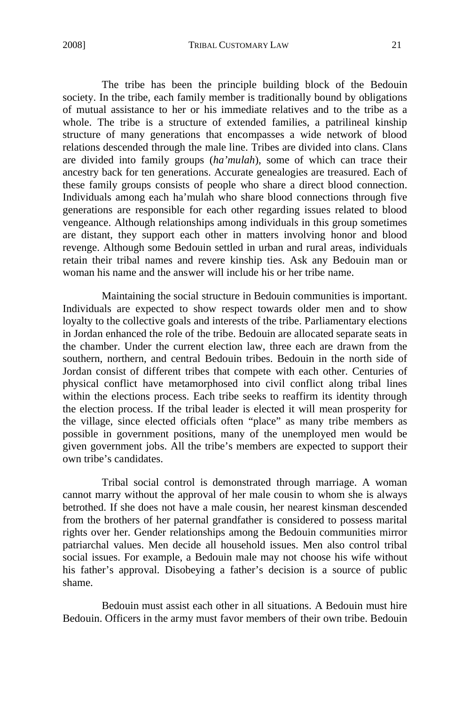The tribe has been the principle building block of the Bedouin society. In the tribe, each family member is traditionally bound by obligations of mutual assistance to her or his immediate relatives and to the tribe as a whole. The tribe is a structure of extended families, a patrilineal kinship structure of many generations that encompasses a wide network of blood relations descended through the male line. Tribes are divided into clans. Clans are divided into family groups (*ha'mulah*), some of which can trace their ancestry back for ten generations. Accurate genealogies are treasured. Each of these family groups consists of people who share a direct blood connection. Individuals among each ha'mulah who share blood connections through five generations are responsible for each other regarding issues related to blood vengeance. Although relationships among individuals in this group sometimes are distant, they support each other in matters involving honor and blood revenge. Although some Bedouin settled in urban and rural areas, individuals retain their tribal names and revere kinship ties. Ask any Bedouin man or woman his name and the answer will include his or her tribe name.

Maintaining the social structure in Bedouin communities is important. Individuals are expected to show respect towards older men and to show loyalty to the collective goals and interests of the tribe. Parliamentary elections in Jordan enhanced the role of the tribe. Bedouin are allocated separate seats in the chamber. Under the current election law, three each are drawn from the southern, northern, and central Bedouin tribes. Bedouin in the north side of Jordan consist of different tribes that compete with each other. Centuries of physical conflict have metamorphosed into civil conflict along tribal lines within the elections process. Each tribe seeks to reaffirm its identity through the election process. If the tribal leader is elected it will mean prosperity for the village, since elected officials often "place" as many tribe members as possible in government positions, many of the unemployed men would be given government jobs. All the tribe's members are expected to support their own tribe's candidates.

Tribal social control is demonstrated through marriage. A woman cannot marry without the approval of her male cousin to whom she is always betrothed. If she does not have a male cousin, her nearest kinsman descended from the brothers of her paternal grandfather is considered to possess marital rights over her. Gender relationships among the Bedouin communities mirror patriarchal values. Men decide all household issues. Men also control tribal social issues. For example, a Bedouin male may not choose his wife without his father's approval. Disobeying a father's decision is a source of public shame.

Bedouin must assist each other in all situations. A Bedouin must hire Bedouin. Officers in the army must favor members of their own tribe. Bedouin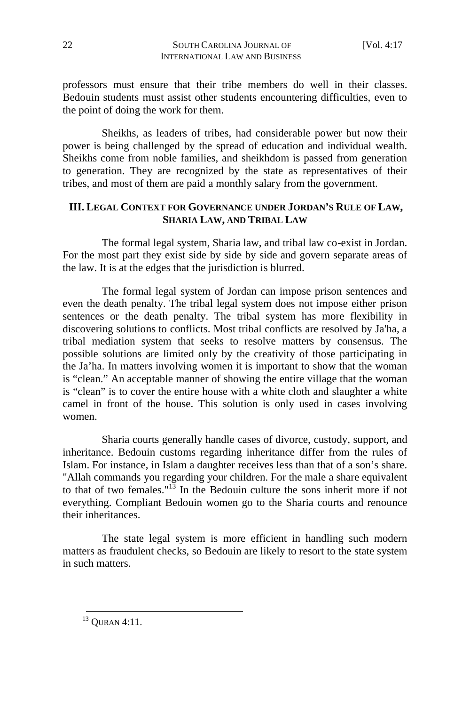professors must ensure that their tribe members do well in their classes. Bedouin students must assist other students encountering difficulties, even to the point of doing the work for them.

Sheikhs, as leaders of tribes, had considerable power but now their power is being challenged by the spread of education and individual wealth. Sheikhs come from noble families, and sheikhdom is passed from generation to generation. They are recognized by the state as representatives of their tribes, and most of them are paid a monthly salary from the government.

### **III. LEGAL CONTEXT FOR GOVERNANCE UNDER JORDAN'S RULE OF LAW, SHARIA LAW, AND TRIBAL LAW**

The formal legal system, Sharia law, and tribal law co-exist in Jordan. For the most part they exist side by side by side and govern separate areas of the law. It is at the edges that the jurisdiction is blurred.

The formal legal system of Jordan can impose prison sentences and even the death penalty. The tribal legal system does not impose either prison sentences or the death penalty. The tribal system has more flexibility in discovering solutions to conflicts. Most tribal conflicts are resolved by Ja'ha, a tribal mediation system that seeks to resolve matters by consensus. The possible solutions are limited only by the creativity of those participating in the Ja'ha. In matters involving women it is important to show that the woman is "clean." An acceptable manner of showing the entire village that the woman is "clean" is to cover the entire house with a white cloth and slaughter a white camel in front of the house. This solution is only used in cases involving women.

Sharia courts generally handle cases of divorce, custody, support, and inheritance. Bedouin customs regarding inheritance differ from the rules of Islam. For instance, in Islam a daughter receives less than that of a son's share. "Allah commands you regarding your children. For the male a share equivalent to that of two females." $13$  In the Bedouin culture the sons inherit more if not everything. Compliant Bedouin women go to the Sharia courts and renounce their inheritances.

The state legal system is more efficient in handling such modern matters as fraudulent checks, so Bedouin are likely to resort to the state system in such matters.

 $13$  QURAN 4:11.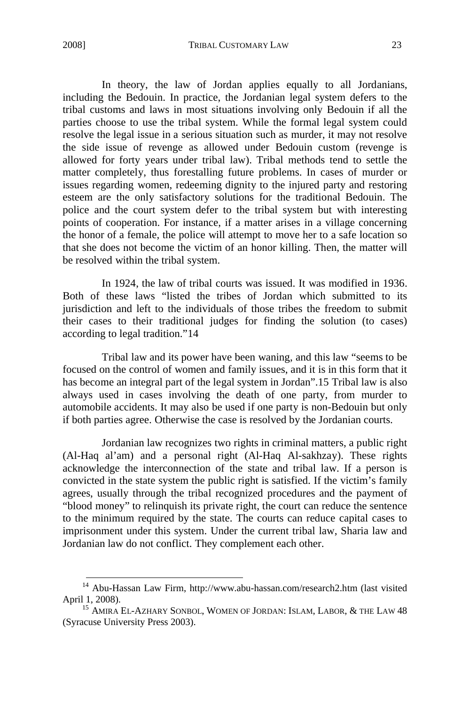$\overline{a}$ 

In theory, the law of Jordan applies equally to all Jordanians, including the Bedouin. In practice, the Jordanian legal system defers to the tribal customs and laws in most situations involving only Bedouin if all the parties choose to use the tribal system. While the formal legal system could resolve the legal issue in a serious situation such as murder, it may not resolve the side issue of revenge as allowed under Bedouin custom (revenge is allowed for forty years under tribal law). Tribal methods tend to settle the matter completely, thus forestalling future problems. In cases of murder or issues regarding women, redeeming dignity to the injured party and restoring esteem are the only satisfactory solutions for the traditional Bedouin. The police and the court system defer to the tribal system but with interesting points of cooperation. For instance, if a matter arises in a village concerning the honor of a female, the police will attempt to move her to a safe location so that she does not become the victim of an honor killing. Then, the matter will be resolved within the tribal system.

In 1924, the law of tribal courts was issued. It was modified in 1936. Both of these laws "listed the tribes of Jordan which submitted to its jurisdiction and left to the individuals of those tribes the freedom to submit their cases to their traditional judges for finding the solution (to cases) according to legal tradition."14

Tribal law and its power have been waning, and this law "seems to be focused on the control of women and family issues, and it is in this form that it has become an integral part of the legal system in Jordan".15 Tribal law is also always used in cases involving the death of one party, from murder to automobile accidents. It may also be used if one party is non-Bedouin but only if both parties agree. Otherwise the case is resolved by the Jordanian courts.

Jordanian law recognizes two rights in criminal matters, a public right (Al-Haq al'am) and a personal right (Al-Haq Al-sakhzay). These rights acknowledge the interconnection of the state and tribal law. If a person is convicted in the state system the public right is satisfied. If the victim's family agrees, usually through the tribal recognized procedures and the payment of "blood money" to relinquish its private right, the court can reduce the sentence to the minimum required by the state. The courts can reduce capital cases to imprisonment under this system. Under the current tribal law, Sharia law and Jordanian law do not conflict. They complement each other.

<sup>&</sup>lt;sup>14</sup> Abu-Hassan Law Firm, http://www.abu-hassan.com/research2.htm (last visited April 1, 2008).<br><sup>15</sup> Amira El-Azhary Sonbol, Women of Jordan: Islam, Labor, & the Law 48

<sup>(</sup>Syracuse University Press 2003).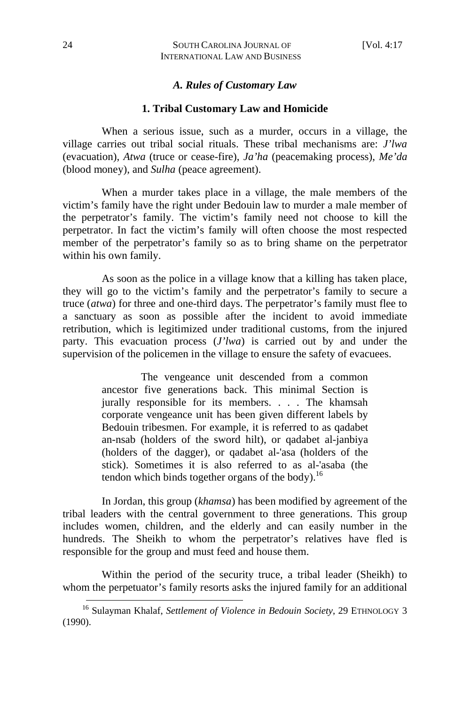#### *A. Rules of Customary Law*

#### **1. Tribal Customary Law and Homicide**

When a serious issue, such as a murder, occurs in a village, the village carries out tribal social rituals. These tribal mechanisms are: *J'lwa* (evacuation), *Atwa* (truce or cease-fire), *Ja'ha* (peacemaking process), *Me'da* (blood money), and *Sulha* (peace agreement).

When a murder takes place in a village, the male members of the victim's family have the right under Bedouin law to murder a male member of the perpetrator's family. The victim's family need not choose to kill the perpetrator. In fact the victim's family will often choose the most respected member of the perpetrator's family so as to bring shame on the perpetrator within his own family.

As soon as the police in a village know that a killing has taken place, they will go to the victim's family and the perpetrator's family to secure a truce (*atwa*) for three and one-third days. The perpetrator's family must flee to a sanctuary as soon as possible after the incident to avoid immediate retribution, which is legitimized under traditional customs, from the injured party. This evacuation process (*J'lwa*) is carried out by and under the supervision of the policemen in the village to ensure the safety of evacuees.

> The vengeance unit descended from a common ancestor five generations back. This minimal Section is jurally responsible for its members. . . . The khamsah corporate vengeance unit has been given different labels by Bedouin tribesmen. For example, it is referred to as qadabet an-nsab (holders of the sword hilt), or qadabet al-janbiya (holders of the dagger), or qadabet al-'asa (holders of the stick). Sometimes it is also referred to as al-'asaba (the tendon which binds together organs of the body).<sup>16</sup>

In Jordan, this group (*khamsa*) has been modified by agreement of the tribal leaders with the central government to three generations. This group includes women, children, and the elderly and can easily number in the hundreds. The Sheikh to whom the perpetrator's relatives have fled is responsible for the group and must feed and house them.

Within the period of the security truce, a tribal leader (Sheikh) to whom the perpetuator's family resorts asks the injured family for an additional

<sup>16</sup> Sulayman Khalaf, *Settlement of Violence in Bedouin Society*, 29 ETHNOLOGY 3 (1990).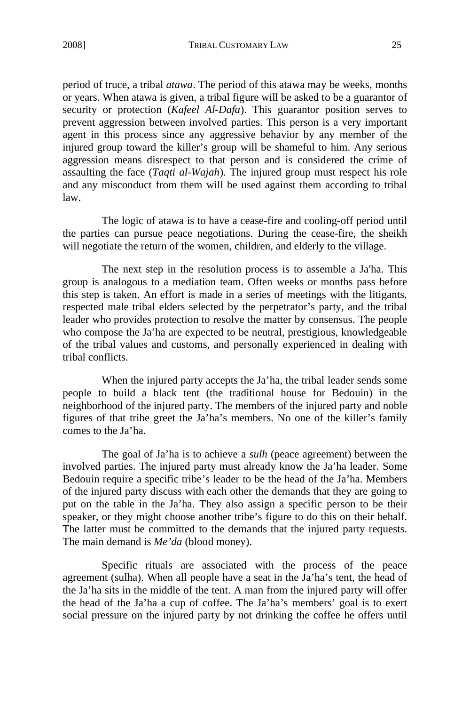period of truce, a tribal *atawa*. The period of this atawa may be weeks, months or years. When atawa is given, a tribal figure will be asked to be a guarantor of security or protection (*Kafeel Al-Dafa*). This guarantor position serves to prevent aggression between involved parties. This person is a very important agent in this process since any aggressive behavior by any member of the injured group toward the killer's group will be shameful to him. Any serious aggression means disrespect to that person and is considered the crime of assaulting the face (*Taqti al-Wajah*). The injured group must respect his role and any misconduct from them will be used against them according to tribal law.

The logic of atawa is to have a cease-fire and cooling-off period until the parties can pursue peace negotiations. During the cease-fire, the sheikh will negotiate the return of the women, children, and elderly to the village.

The next step in the resolution process is to assemble a Ja'ha. This group is analogous to a mediation team. Often weeks or months pass before this step is taken. An effort is made in a series of meetings with the litigants, respected male tribal elders selected by the perpetrator's party, and the tribal leader who provides protection to resolve the matter by consensus. The people who compose the Ja'ha are expected to be neutral, prestigious, knowledgeable of the tribal values and customs, and personally experienced in dealing with tribal conflicts.

When the injured party accepts the Ja'ha, the tribal leader sends some people to build a black tent (the traditional house for Bedouin) in the neighborhood of the injured party. The members of the injured party and noble figures of that tribe greet the Ja'ha's members. No one of the killer's family comes to the Ja'ha.

The goal of Ja'ha is to achieve a *sulh* (peace agreement) between the involved parties. The injured party must already know the Ja'ha leader. Some Bedouin require a specific tribe's leader to be the head of the Ja'ha. Members of the injured party discuss with each other the demands that they are going to put on the table in the Ja'ha. They also assign a specific person to be their speaker, or they might choose another tribe's figure to do this on their behalf. The latter must be committed to the demands that the injured party requests. The main demand is *Me'da* (blood money).

Specific rituals are associated with the process of the peace agreement (sulha). When all people have a seat in the Ja'ha's tent, the head of the Ja'ha sits in the middle of the tent. A man from the injured party will offer the head of the Ja'ha a cup of coffee. The Ja'ha's members' goal is to exert social pressure on the injured party by not drinking the coffee he offers until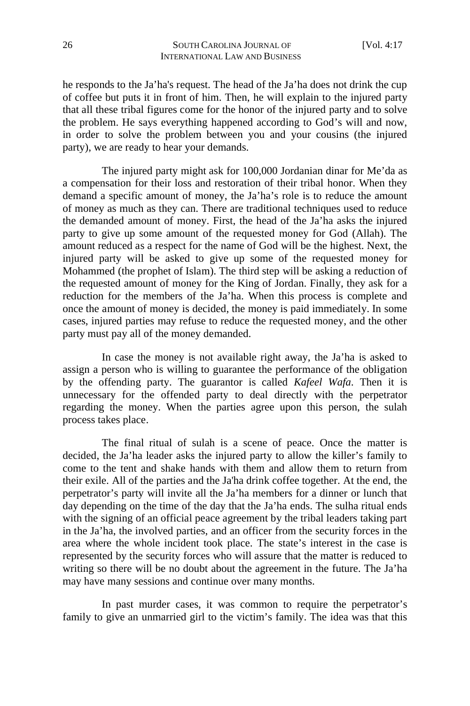he responds to the Ja'ha's request. The head of the Ja'ha does not drink the cup of coffee but puts it in front of him. Then, he will explain to the injured party that all these tribal figures come for the honor of the injured party and to solve the problem. He says everything happened according to God's will and now, in order to solve the problem between you and your cousins (the injured party), we are ready to hear your demands.

The injured party might ask for 100,000 Jordanian dinar for Me'da as a compensation for their loss and restoration of their tribal honor. When they demand a specific amount of money, the Ja'ha's role is to reduce the amount of money as much as they can. There are traditional techniques used to reduce the demanded amount of money. First, the head of the Ja'ha asks the injured party to give up some amount of the requested money for God (Allah). The amount reduced as a respect for the name of God will be the highest. Next, the injured party will be asked to give up some of the requested money for Mohammed (the prophet of Islam). The third step will be asking a reduction of the requested amount of money for the King of Jordan. Finally, they ask for a reduction for the members of the Ja'ha. When this process is complete and once the amount of money is decided, the money is paid immediately. In some cases, injured parties may refuse to reduce the requested money, and the other party must pay all of the money demanded.

In case the money is not available right away, the Ja'ha is asked to assign a person who is willing to guarantee the performance of the obligation by the offending party. The guarantor is called *Kafeel Wafa*. Then it is unnecessary for the offended party to deal directly with the perpetrator regarding the money. When the parties agree upon this person, the sulah process takes place.

The final ritual of sulah is a scene of peace. Once the matter is decided, the Ja'ha leader asks the injured party to allow the killer's family to come to the tent and shake hands with them and allow them to return from their exile. All of the parties and the Ja'ha drink coffee together. At the end, the perpetrator's party will invite all the Ja'ha members for a dinner or lunch that day depending on the time of the day that the Ja'ha ends. The sulha ritual ends with the signing of an official peace agreement by the tribal leaders taking part in the Ja'ha, the involved parties, and an officer from the security forces in the area where the whole incident took place. The state's interest in the case is represented by the security forces who will assure that the matter is reduced to writing so there will be no doubt about the agreement in the future. The Ja'ha may have many sessions and continue over many months.

In past murder cases, it was common to require the perpetrator's family to give an unmarried girl to the victim's family. The idea was that this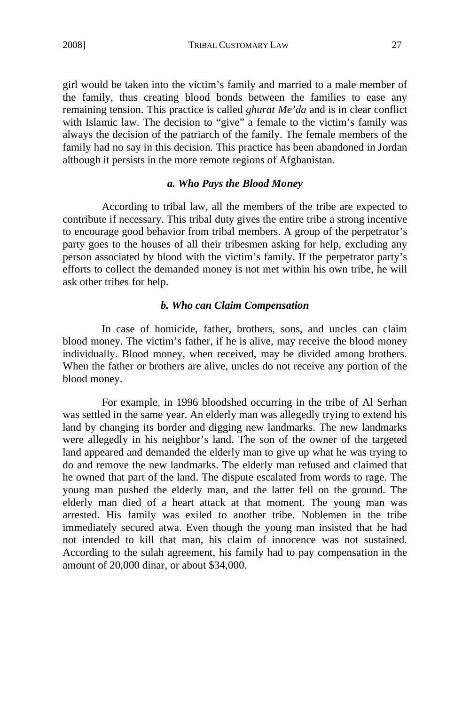2008] TRIBAL CUSTOMARY LAW 27

girl would be taken into the victim's family and married to a male member of the family, thus creating blood bonds between the families to ease any remaining tension. This practice is called *ghurat Me'da* and is in clear conflict with Islamic law*.* The decision to "give" a female to the victim's family was always the decision of the patriarch of the family. The female members of the family had no say in this decision. This practice has been abandoned in Jordan although it persists in the more remote regions of Afghanistan.

#### *a. Who Pays the Blood Money*

According to tribal law, all the members of the tribe are expected to contribute if necessary. This tribal duty gives the entire tribe a strong incentive to encourage good behavior from tribal members. A group of the perpetrator's party goes to the houses of all their tribesmen asking for help, excluding any person associated by blood with the victim's family. If the perpetrator party's efforts to collect the demanded money is not met within his own tribe, he will ask other tribes for help.

#### *b. Who can Claim Compensation*

In case of homicide, father, brothers, sons, and uncles can claim blood money. The victim's father, if he is alive, may receive the blood money individually. Blood money, when received, may be divided among brothers. When the father or brothers are alive, uncles do not receive any portion of the blood money.

For example, in 1996 bloodshed occurring in the tribe of Al Serhan was settled in the same year. An elderly man was allegedly trying to extend his land by changing its border and digging new landmarks. The new landmarks were allegedly in his neighbor's land. The son of the owner of the targeted land appeared and demanded the elderly man to give up what he was trying to do and remove the new landmarks. The elderly man refused and claimed that he owned that part of the land. The dispute escalated from words to rage. The young man pushed the elderly man, and the latter fell on the ground. The elderly man died of a heart attack at that moment. The young man was arrested. His family was exiled to another tribe. Noblemen in the tribe immediately secured atwa. Even though the young man insisted that he had not intended to kill that man, his claim of innocence was not sustained. According to the sulah agreement, his family had to pay compensation in the amount of 20,000 dinar, or about \$34,000.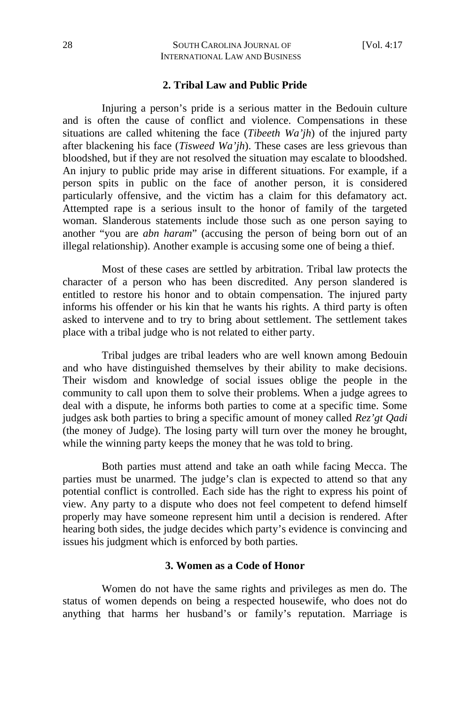#### 28 SOUTH CAROLINA JOURNAL OF [Vol. 4:17 INTERNATIONAL LAW AND BUSINESS

#### **2. Tribal Law and Public Pride**

Injuring a person's pride is a serious matter in the Bedouin culture and is often the cause of conflict and violence. Compensations in these situations are called whitening the face (*Tibeeth Wa'jh*) of the injured party after blackening his face (*Tisweed Wa'jh*). These cases are less grievous than bloodshed, but if they are not resolved the situation may escalate to bloodshed. An injury to public pride may arise in different situations. For example, if a person spits in public on the face of another person, it is considered particularly offensive, and the victim has a claim for this defamatory act. Attempted rape is a serious insult to the honor of family of the targeted woman. Slanderous statements include those such as one person saying to another "you are *abn haram*" (accusing the person of being born out of an illegal relationship). Another example is accusing some one of being a thief.

Most of these cases are settled by arbitration. Tribal law protects the character of a person who has been discredited. Any person slandered is entitled to restore his honor and to obtain compensation. The injured party informs his offender or his kin that he wants his rights. A third party is often asked to intervene and to try to bring about settlement. The settlement takes place with a tribal judge who is not related to either party.

Tribal judges are tribal leaders who are well known among Bedouin and who have distinguished themselves by their ability to make decisions. Their wisdom and knowledge of social issues oblige the people in the community to call upon them to solve their problems. When a judge agrees to deal with a dispute, he informs both parties to come at a specific time. Some judges ask both parties to bring a specific amount of money called *Rez'gt Qadi* (the money of Judge). The losing party will turn over the money he brought, while the winning party keeps the money that he was told to bring.

Both parties must attend and take an oath while facing Mecca. The parties must be unarmed. The judge's clan is expected to attend so that any potential conflict is controlled. Each side has the right to express his point of view. Any party to a dispute who does not feel competent to defend himself properly may have someone represent him until a decision is rendered. After hearing both sides, the judge decides which party's evidence is convincing and issues his judgment which is enforced by both parties.

#### **3. Women as a Code of Honor**

Women do not have the same rights and privileges as men do. The status of women depends on being a respected housewife, who does not do anything that harms her husband's or family's reputation. Marriage is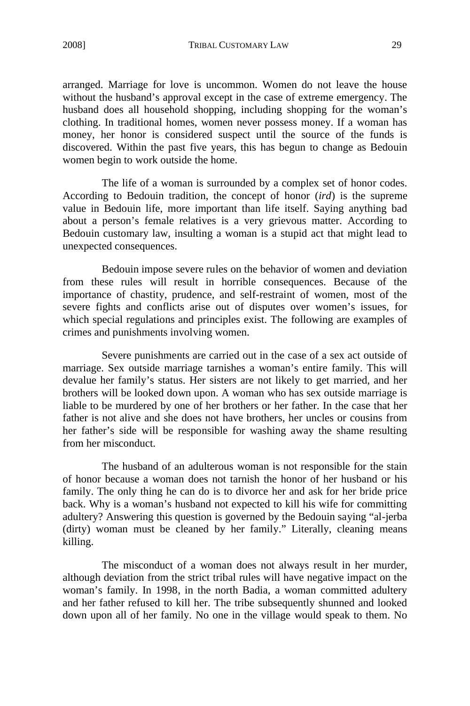2008] TRIBAL CUSTOMARY LAW 29

arranged. Marriage for love is uncommon. Women do not leave the house without the husband's approval except in the case of extreme emergency. The husband does all household shopping, including shopping for the woman's clothing. In traditional homes, women never possess money. If a woman has money, her honor is considered suspect until the source of the funds is discovered. Within the past five years, this has begun to change as Bedouin women begin to work outside the home.

The life of a woman is surrounded by a complex set of honor codes. According to Bedouin tradition, the concept of honor (*ird*) is the supreme value in Bedouin life, more important than life itself. Saying anything bad about a person's female relatives is a very grievous matter. According to Bedouin customary law, insulting a woman is a stupid act that might lead to unexpected consequences.

Bedouin impose severe rules on the behavior of women and deviation from these rules will result in horrible consequences. Because of the importance of chastity, prudence, and self-restraint of women, most of the severe fights and conflicts arise out of disputes over women's issues, for which special regulations and principles exist. The following are examples of crimes and punishments involving women.

Severe punishments are carried out in the case of a sex act outside of marriage. Sex outside marriage tarnishes a woman's entire family. This will devalue her family's status. Her sisters are not likely to get married, and her brothers will be looked down upon. A woman who has sex outside marriage is liable to be murdered by one of her brothers or her father. In the case that her father is not alive and she does not have brothers, her uncles or cousins from her father's side will be responsible for washing away the shame resulting from her misconduct.

The husband of an adulterous woman is not responsible for the stain of honor because a woman does not tarnish the honor of her husband or his family. The only thing he can do is to divorce her and ask for her bride price back. Why is a woman's husband not expected to kill his wife for committing adultery? Answering this question is governed by the Bedouin saying "al-jerba (dirty) woman must be cleaned by her family." Literally, cleaning means killing.

The misconduct of a woman does not always result in her murder, although deviation from the strict tribal rules will have negative impact on the woman's family. In 1998, in the north Badia, a woman committed adultery and her father refused to kill her. The tribe subsequently shunned and looked down upon all of her family. No one in the village would speak to them. No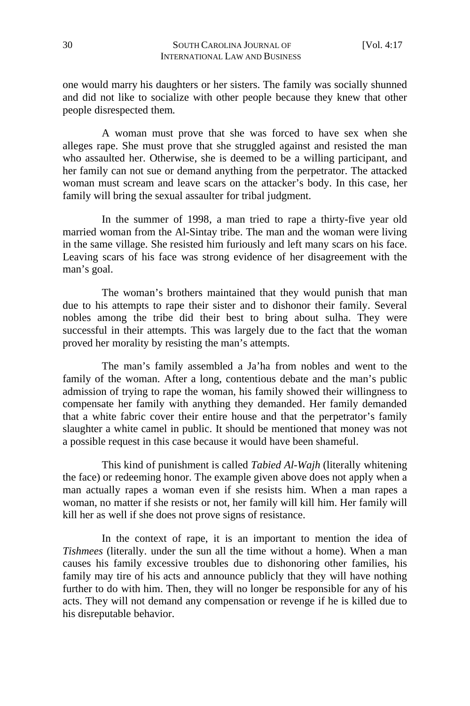one would marry his daughters or her sisters. The family was socially shunned and did not like to socialize with other people because they knew that other people disrespected them.

A woman must prove that she was forced to have sex when she alleges rape. She must prove that she struggled against and resisted the man who assaulted her. Otherwise, she is deemed to be a willing participant, and her family can not sue or demand anything from the perpetrator. The attacked woman must scream and leave scars on the attacker's body. In this case, her family will bring the sexual assaulter for tribal judgment.

In the summer of 1998, a man tried to rape a thirty-five year old married woman from the Al-Sintay tribe. The man and the woman were living in the same village. She resisted him furiously and left many scars on his face. Leaving scars of his face was strong evidence of her disagreement with the man's goal.

The woman's brothers maintained that they would punish that man due to his attempts to rape their sister and to dishonor their family. Several nobles among the tribe did their best to bring about sulha. They were successful in their attempts. This was largely due to the fact that the woman proved her morality by resisting the man's attempts.

The man's family assembled a Ja'ha from nobles and went to the family of the woman. After a long, contentious debate and the man's public admission of trying to rape the woman, his family showed their willingness to compensate her family with anything they demanded. Her family demanded that a white fabric cover their entire house and that the perpetrator's family slaughter a white camel in public. It should be mentioned that money was not a possible request in this case because it would have been shameful.

This kind of punishment is called *Tabied Al-Wajh* (literally whitening the face) or redeeming honor. The example given above does not apply when a man actually rapes a woman even if she resists him. When a man rapes a woman, no matter if she resists or not, her family will kill him. Her family will kill her as well if she does not prove signs of resistance.

In the context of rape, it is an important to mention the idea of *Tishmees* (literally. under the sun all the time without a home). When a man causes his family excessive troubles due to dishonoring other families, his family may tire of his acts and announce publicly that they will have nothing further to do with him. Then, they will no longer be responsible for any of his acts. They will not demand any compensation or revenge if he is killed due to his disreputable behavior.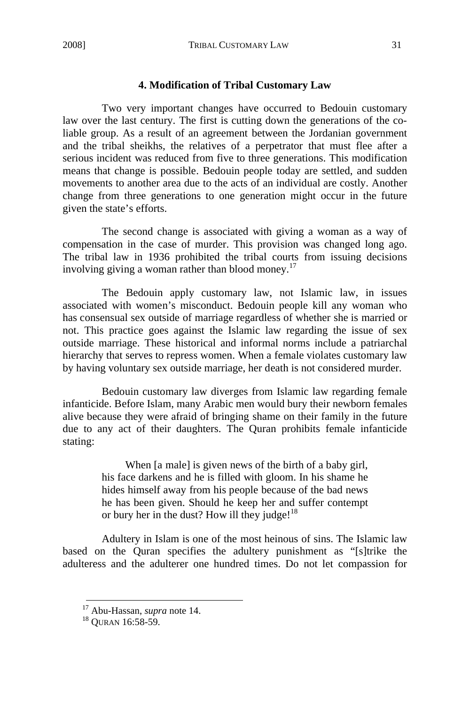#### **4. Modification of Tribal Customary Law**

Two very important changes have occurred to Bedouin customary law over the last century. The first is cutting down the generations of the coliable group. As a result of an agreement between the Jordanian government and the tribal sheikhs, the relatives of a perpetrator that must flee after a serious incident was reduced from five to three generations. This modification means that change is possible. Bedouin people today are settled, and sudden movements to another area due to the acts of an individual are costly. Another change from three generations to one generation might occur in the future given the state's efforts.

The second change is associated with giving a woman as a way of compensation in the case of murder. This provision was changed long ago. The tribal law in 1936 prohibited the tribal courts from issuing decisions involving giving a woman rather than blood money.<sup>17</sup>

The Bedouin apply customary law, not Islamic law, in issues associated with women's misconduct. Bedouin people kill any woman who has consensual sex outside of marriage regardless of whether she is married or not. This practice goes against the Islamic law regarding the issue of sex outside marriage. These historical and informal norms include a patriarchal hierarchy that serves to repress women. When a female violates customary law by having voluntary sex outside marriage, her death is not considered murder.

Bedouin customary law diverges from Islamic law regarding female infanticide. Before Islam, many Arabic men would bury their newborn females alive because they were afraid of bringing shame on their family in the future due to any act of their daughters. The Quran prohibits female infanticide stating:

> When [a male] is given news of the birth of a baby girl, his face darkens and he is filled with gloom. In his shame he hides himself away from his people because of the bad news he has been given. Should he keep her and suffer contempt or bury her in the dust? How ill they judge!<sup>18</sup>

Adultery in Islam is one of the most heinous of sins. The Islamic law based on the Quran specifies the adultery punishment as "[s]trike the adulteress and the adulterer one hundred times. Do not let compassion for

<sup>&</sup>lt;sup>17</sup> Abu-Hassan, *supra* note 14.<br><sup>18</sup> OURAN 16:58-59.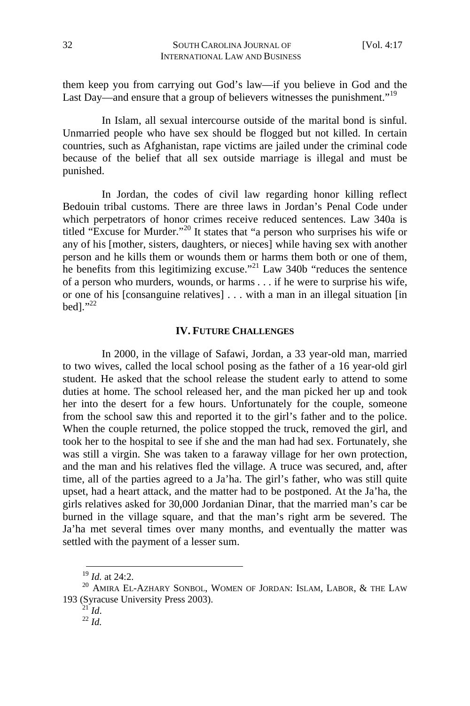them keep you from carrying out God's law—if you believe in God and the Last Day—and ensure that a group of believers witnesses the punishment."<sup>19</sup>

In Islam, all sexual intercourse outside of the marital bond is sinful. Unmarried people who have sex should be flogged but not killed. In certain countries, such as Afghanistan, rape victims are jailed under the criminal code because of the belief that all sex outside marriage is illegal and must be punished.

In Jordan, the codes of civil law regarding honor killing reflect Bedouin tribal customs. There are three laws in Jordan's Penal Code under which perpetrators of honor crimes receive reduced sentences. Law 340a is titled "Excuse for Murder."20 It states that "a person who surprises his wife or any of his [mother, sisters, daughters, or nieces] while having sex with another person and he kills them or wounds them or harms them both or one of them, he benefits from this legitimizing excuse."<sup>21</sup> Law 340b "reduces the sentence of a person who murders, wounds, or harms . . . if he were to surprise his wife, or one of his [consanguine relatives] . . . with a man in an illegal situation [in bed]. $"^{22}$ 

#### **IV. FUTURE CHALLENGES**

In 2000, in the village of Safawi, Jordan, a 33 year-old man, married to two wives, called the local school posing as the father of a 16 year-old girl student. He asked that the school release the student early to attend to some duties at home. The school released her, and the man picked her up and took her into the desert for a few hours. Unfortunately for the couple, someone from the school saw this and reported it to the girl's father and to the police. When the couple returned, the police stopped the truck, removed the girl, and took her to the hospital to see if she and the man had had sex. Fortunately, she was still a virgin. She was taken to a faraway village for her own protection, and the man and his relatives fled the village. A truce was secured, and, after time, all of the parties agreed to a Ja'ha. The girl's father, who was still quite upset, had a heart attack, and the matter had to be postponed. At the Ja'ha, the girls relatives asked for 30,000 Jordanian Dinar, that the married man's car be burned in the village square, and that the man's right arm be severed. The Ja'ha met several times over many months, and eventually the matter was settled with the payment of a lesser sum.

 $19$  *Id.* at 24:2.

 $^{20}$ AMIRA EL-AZHARY SONBOL, WOMEN OF JORDAN: ISLAM, LABOR,  $\&$  THE LAW 193 (Syracuse University Press 2003). <sup>21</sup> *Id*. 22 *Id.*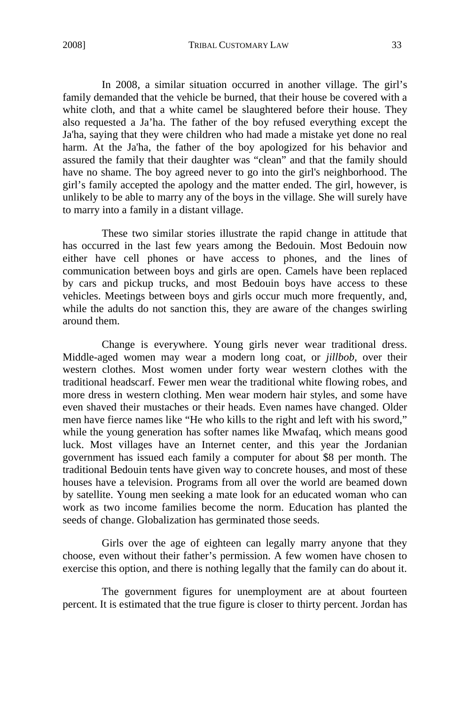2008] TRIBAL CUSTOMARY LAW 33

In 2008, a similar situation occurred in another village. The girl's family demanded that the vehicle be burned, that their house be covered with a white cloth, and that a white camel be slaughtered before their house. They also requested a Ja'ha. The father of the boy refused everything except the Ja'ha, saying that they were children who had made a mistake yet done no real harm. At the Ja'ha, the father of the boy apologized for his behavior and assured the family that their daughter was "clean" and that the family should have no shame. The boy agreed never to go into the girl's neighborhood. The girl's family accepted the apology and the matter ended. The girl, however, is unlikely to be able to marry any of the boys in the village. She will surely have to marry into a family in a distant village.

These two similar stories illustrate the rapid change in attitude that has occurred in the last few years among the Bedouin. Most Bedouin now either have cell phones or have access to phones, and the lines of communication between boys and girls are open. Camels have been replaced by cars and pickup trucks, and most Bedouin boys have access to these vehicles. Meetings between boys and girls occur much more frequently, and, while the adults do not sanction this, they are aware of the changes swirling around them.

Change is everywhere. Young girls never wear traditional dress. Middle-aged women may wear a modern long coat, or *jillbob,* over their western clothes. Most women under forty wear western clothes with the traditional headscarf. Fewer men wear the traditional white flowing robes, and more dress in western clothing. Men wear modern hair styles, and some have even shaved their mustaches or their heads. Even names have changed. Older men have fierce names like "He who kills to the right and left with his sword," while the young generation has softer names like Mwafaq, which means good luck. Most villages have an Internet center, and this year the Jordanian government has issued each family a computer for about \$8 per month. The traditional Bedouin tents have given way to concrete houses, and most of these houses have a television. Programs from all over the world are beamed down by satellite. Young men seeking a mate look for an educated woman who can work as two income families become the norm. Education has planted the seeds of change. Globalization has germinated those seeds.

Girls over the age of eighteen can legally marry anyone that they choose, even without their father's permission. A few women have chosen to exercise this option, and there is nothing legally that the family can do about it.

The government figures for unemployment are at about fourteen percent. It is estimated that the true figure is closer to thirty percent. Jordan has